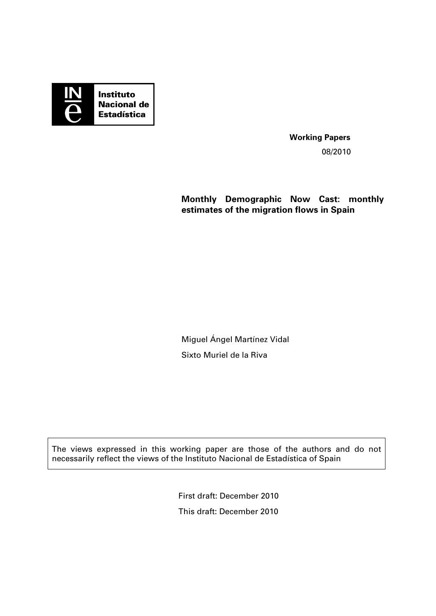

**Working Papers**  08/2010

**Monthly Demographic Now Cast: monthly estimates of the migration flows in Spain** 

Miguel Ángel Martínez Vidal Sixto Muriel de la Riva

The views expressed in this working paper are those of the authors and do not necessarily reflect the views of the Instituto Nacional de Estadística of Spain

> First draft: December 2010 This draft: December 2010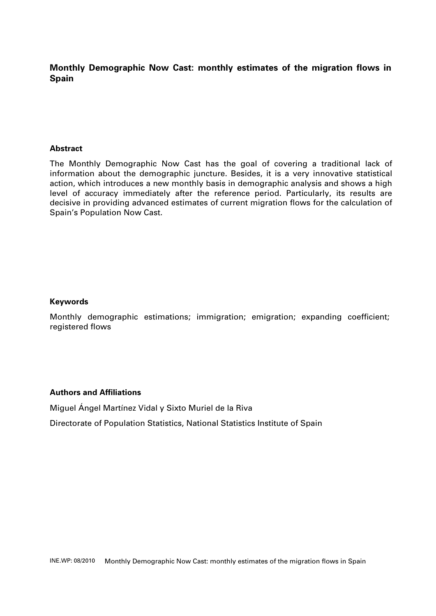## **Monthly Demographic Now Cast: monthly estimates of the migration flows in Spain**

#### **Abstract**

The Monthly Demographic Now Cast has the goal of covering a traditional lack of information about the demographic juncture. Besides, it is a very innovative statistical action, which introduces a new monthly basis in demographic analysis and shows a high level of accuracy immediately after the reference period. Particularly, its results are decisive in providing advanced estimates of current migration flows for the calculation of Spain's Population Now Cast.

#### **Keywords**

Monthly demographic estimations; immigration; emigration; expanding coefficient; registered flows

#### **Authors and Affiliations**

Miguel Ángel Martínez Vidal y Sixto Muriel de la Riva

Directorate of Population Statistics, National Statistics Institute of Spain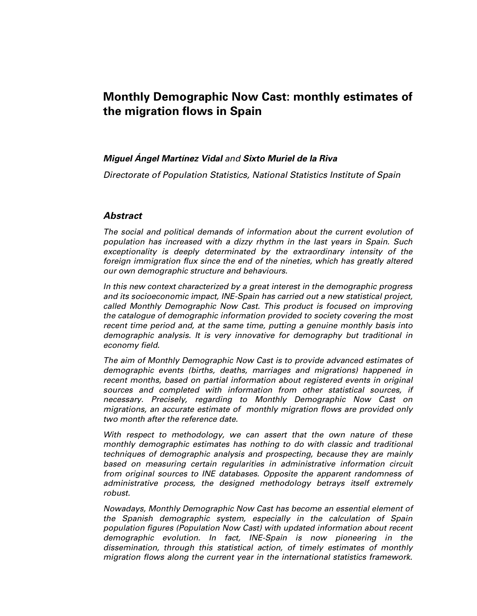# **Monthly Demographic Now Cast: monthly estimates of the migration flows in Spain**

#### **Miguel Ángel Martínez Vidal** and **Sixto Muriel de la Riva**

Directorate of Population Statistics, National Statistics Institute of Spain

#### **Abstract**

The social and political demands of information about the current evolution of population has increased with a dizzy rhythm in the last years in Spain. Such exceptionality is deeply determinated by the extraordinary intensity of the foreign immigration flux since the end of the nineties, which has greatly altered our own demographic structure and behaviours.

In this new context characterized by a great interest in the demographic progress and its socioeconomic impact, INE-Spain has carried out a new statistical project, called Monthly Demographic Now Cast. This product is focused on improving the catalogue of demographic information provided to society covering the most recent time period and, at the same time, putting a genuine monthly basis into demographic analysis. It is very innovative for demography but traditional in economy field.

The aim of Monthly Demographic Now Cast is to provide advanced estimates of demographic events (births, deaths, marriages and migrations) happened in recent months, based on partial information about registered events in original sources and completed with information from other statistical sources, if necessary. Precisely, regarding to Monthly Demographic Now Cast on migrations, an accurate estimate of monthly migration flows are provided only two month after the reference date.

With respect to methodology, we can assert that the own nature of these monthly demographic estimates has nothing to do with classic and traditional techniques of demographic analysis and prospecting, because they are mainly based on measuring certain regularities in administrative information circuit from original sources to INE databases. Opposite the apparent randomness of administrative process, the designed methodology betrays itself extremely robust.

Nowadays, Monthly Demographic Now Cast has become an essential element of the Spanish demographic system, especially in the calculation of Spain population figures (Population Now Cast) with updated information about recent demographic evolution. In fact, INE-Spain is now pioneering in the dissemination, through this statistical action, of timely estimates of monthly migration flows along the current year in the international statistics framework.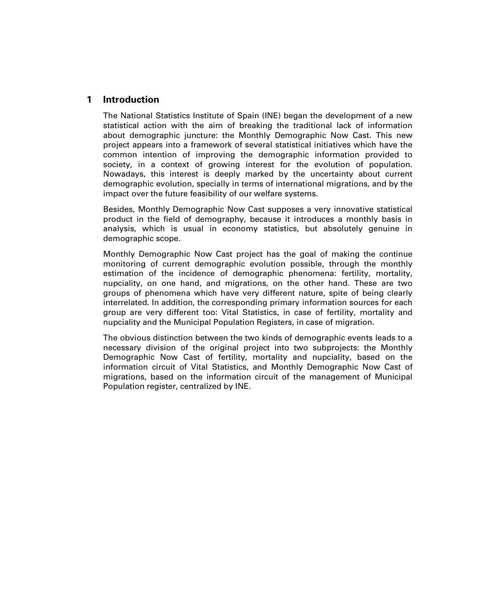### **1 Introduction**

The National Statistics Institute of Spain (INE) began the development of a new statistical action with the aim of breaking the traditional lack of information about demographic juncture: the Monthly Demographic Now Cast. This new project appears into a framework of several statistical initiatives which have the common intention of improving the demographic information provided to society, in a context of growing interest for the evolution of population. Nowadays, this interest is deeply marked by the uncertainty about current demographic evolution, specially in terms of international migrations, and by the impact over the future feasibility of our welfare systems.

Besides, Monthly Demographic Now Cast supposes a very innovative statistical product in the field of demography, because it introduces a monthly basis in analysis, which is usual in economy statistics, but absolutely genuine in demographic scope.

Monthly Demographic Now Cast project has the goal of making the continue monitoring of current demographic evolution possible, through the monthly estimation of the incidence of demographic phenomena: fertility, mortality, nupciality, on one hand, and migrations, on the other hand. These are two groups of phenomena which have very different nature, spite of being clearly interrelated. In addition, the corresponding primary information sources for each group are very different too: Vital Statistics, in case of fertility, mortality and nupciality and the Municipal Population Registers, in case of migration.

The obvious distinction between the two kinds of demographic events leads to a necessary division of the original project into two subprojects: the Monthly Demographic Now Cast of fertility, mortality and nupciality, based on the information circuit of Vital Statistics, and Monthly Demographic Now Cast of migrations, based on the information circuit of the management of Municipal Population register, centralized by INE.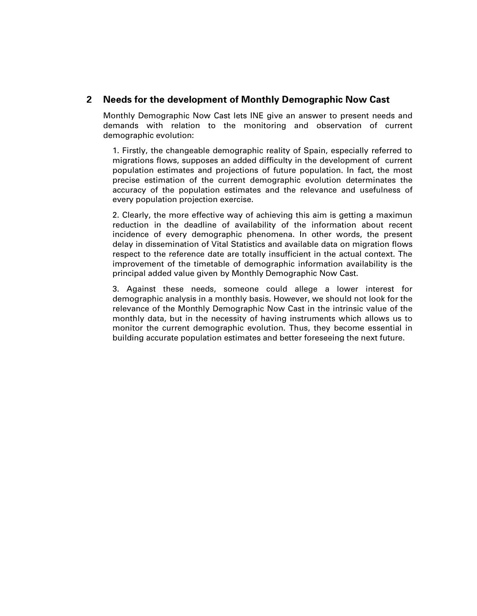### **2 Needs for the development of Monthly Demographic Now Cast**

Monthly Demographic Now Cast lets INE give an answer to present needs and demands with relation to the monitoring and observation of current demographic evolution:

1. Firstly, the changeable demographic reality of Spain, especially referred to migrations flows, supposes an added difficulty in the development of current population estimates and projections of future population. In fact, the most precise estimation of the current demographic evolution determinates the accuracy of the population estimates and the relevance and usefulness of every population projection exercise.

2. Clearly, the more effective way of achieving this aim is getting a maximun reduction in the deadline of availability of the information about recent incidence of every demographic phenomena. In other words, the present delay in dissemination of Vital Statistics and available data on migration flows respect to the reference date are totally insufficient in the actual context. The improvement of the timetable of demographic information availability is the principal added value given by Monthly Demographic Now Cast.

3. Against these needs, someone could allege a lower interest for demographic analysis in a monthly basis. However, we should not look for the relevance of the Monthly Demographic Now Cast in the intrinsic value of the monthly data, but in the necessity of having instruments which allows us to monitor the current demographic evolution. Thus, they become essential in building accurate population estimates and better foreseeing the next future.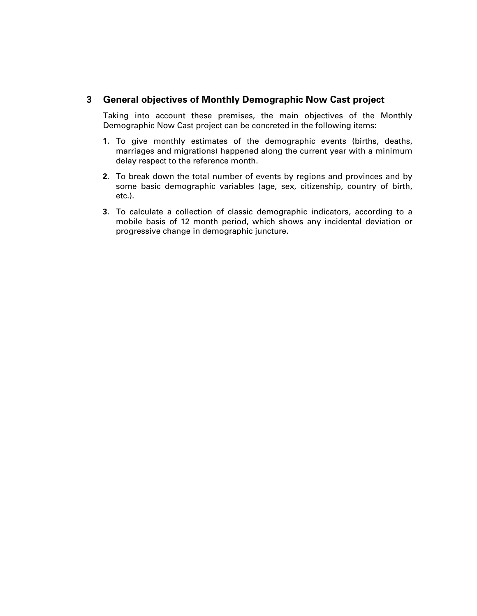### **3 General objectives of Monthly Demographic Now Cast project**

Taking into account these premises, the main objectives of the Monthly Demographic Now Cast project can be concreted in the following items:

- **1.** To give monthly estimates of the demographic events (births, deaths, marriages and migrations) happened along the current year with a minimum delay respect to the reference month.
- **2.** To break down the total number of events by regions and provinces and by some basic demographic variables (age, sex, citizenship, country of birth, etc.).
- **3.** To calculate a collection of classic demographic indicators, according to a mobile basis of 12 month period, which shows any incidental deviation or progressive change in demographic juncture.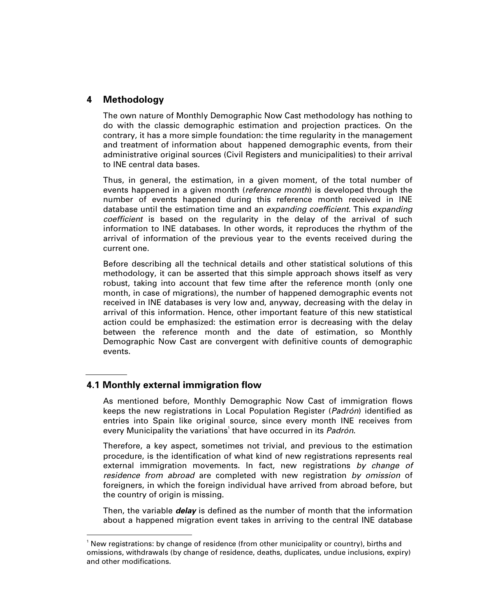### **4 Methodology**

The own nature of Monthly Demographic Now Cast methodology has nothing to do with the classic demographic estimation and projection practices. On the contrary, it has a more simple foundation: the time regularity in the management and treatment of information about happened demographic events, from their administrative original sources (Civil Registers and municipalities) to their arrival to INE central data bases.

Thus, in general, the estimation, in a given moment, of the total number of events happened in a given month (*reference month*) is developed through the number of events happened during this reference month received in INE database until the estimation time and an expanding coefficient. This expanding coefficient is based on the regularity in the delay of the arrival of such information to INE databases. In other words, it reproduces the rhythm of the arrival of information of the previous year to the events received during the current one.

Before describing all the technical details and other statistical solutions of this methodology, it can be asserted that this simple approach shows itself as very robust, taking into account that few time after the reference month (only one month, in case of migrations), the number of happened demographic events not received in INE databases is very low and, anyway, decreasing with the delay in arrival of this information. Hence, other important feature of this new statistical action could be emphasized: the estimation error is decreasing with the delay between the reference month and the date of estimation, so Monthly Demographic Now Cast are convergent with definitive counts of demographic events.

### **4.1 Monthly external immigration flow**

-

As mentioned before, Monthly Demographic Now Cast of immigration flows keeps the new registrations in Local Population Register (Padrón) identified as entries into Spain like original source, since every month INE receives from every Municipality the variations<sup>1</sup> that have occurred in its Padrón.

Therefore, a key aspect, sometimes not trivial, and previous to the estimation procedure, is the identification of what kind of new registrations represents real external immigration movements. In fact, new registrations by change of residence from abroad are completed with new registration by omission of foreigners, in which the foreign individual have arrived from abroad before, but the country of origin is missing.

Then, the variable **delay** is defined as the number of month that the information about a happened migration event takes in arriving to the central INE database

<sup>1</sup> New registrations: by change of residence (from other municipality or country), births and omissions, withdrawals (by change of residence, deaths, duplicates, undue inclusions, expiry) and other modifications.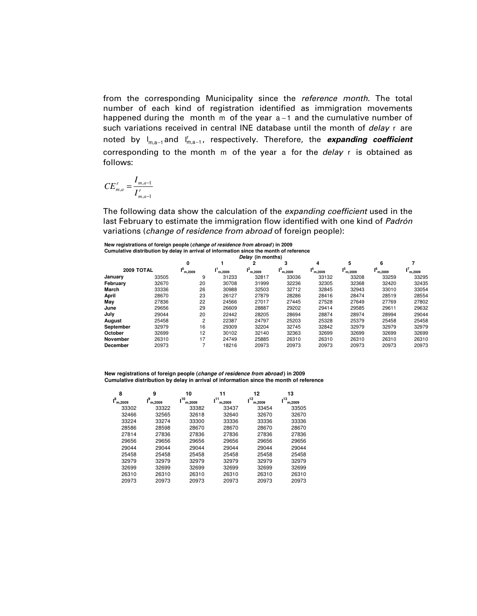from the corresponding Municipality since the reference month. The total number of each kind of registration identified as immigration movements happened during the month m of the year a -1 and the cumulative number of such variations received in central INE database until the month of delay r are noted by I<sub>m,a–1</sub>and I'<sub>m,a–1</sub>, respectively. Therefore, the *expanding coefficient* corresponding to the month m of the year a for the delay r is obtained as follows:

$$
CE_{m,a}^r = \frac{I_{m,a-1}}{I_{m,a-1}^r}
$$

The following data show the calculation of the *expanding coefficient* used in the last February to estimate the immigration flow identified with one kind of Padrón variations (change of residence from abroad of foreign people):

**New registrations of foreign people (change of residence from abroad ) in 2009 Cumulative distribution by delay in arrival of information since the month of reference**

| Delay (in months) |       |              |        |        |        |        |               |              |        |
|-------------------|-------|--------------|--------|--------|--------|--------|---------------|--------------|--------|
|                   |       | 0            |        |        | 3      | 4      | 5             | 6            |        |
| 2009 TOTAL        |       | 0,<br>m.2009 | m.2009 | m.2009 | m.2009 | m.2009 | 15.<br>m.2009 | ۰6<br>m.2009 | m.2009 |
| January           | 33505 | 9            | 31233  | 32817  | 33036  | 33132  | 33208         | 33259        | 33295  |
| February          | 32670 | 20           | 30708  | 31999  | 32236  | 32305  | 32368         | 32420        | 32435  |
| <b>March</b>      | 33336 | 26           | 30988  | 32503  | 32712  | 32845  | 32943         | 33010        | 33054  |
| April             | 28670 | 23           | 26127  | 27879  | 28286  | 28416  | 28474         | 28519        | 28554  |
| May               | 27836 | 22           | 24566  | 27017  | 27445  | 27528  | 27649         | 27769        | 27802  |
| June              | 29656 | 29           | 26609  | 28887  | 29202  | 29414  | 29585         | 29611        | 29632  |
| July              | 29044 | 20           | 22442  | 28205  | 28694  | 28874  | 28974         | 28994        | 29044  |
| August            | 25458 | 2            | 22387  | 24797  | 25203  | 25328  | 25379         | 25458        | 25458  |
| September         | 32979 | 16           | 29309  | 32204  | 32745  | 32842  | 32979         | 32979        | 32979  |
| October           | 32699 | 12           | 30102  | 32140  | 32363  | 32699  | 32699         | 32699        | 32699  |
| November          | 26310 | 17           | 24749  | 25885  | 26310  | 26310  | 26310         | 26310        | 26310  |
| December          | 20973 |              | 18216  | 20973  | 20973  | 20973  | 20973         | 20973        | 20973  |

**New registrations of foreign people (change of residence from abroad ) in 2009 Cumulative distribution by delay in arrival of information since the month of reference**

| 8               | 9            | 10            | 11           | 12           | 13            |
|-----------------|--------------|---------------|--------------|--------------|---------------|
| $I^8$<br>m.2009 | 9,<br>m.2009 | 10،<br>m.2009 | 11<br>m.2009 | 12<br>m.2009 | 13ء<br>m.2009 |
| 33302           | 33322        | 33382         | 33437        | 33454        | 33505         |
| 32466           | 32565        | 32618         | 32640        | 32670        | 32670         |
| 33224           | 33274        | 33300         | 33336        | 33336        | 33336         |
| 28586           | 28598        | 28670         | 28670        | 28670        | 28670         |
| 27814           | 27836        | 27836         | 27836        | 27836        | 27836         |
| 29656           | 29656        | 29656         | 29656        | 29656        | 29656         |
| 29044           | 29044        | 29044         | 29044        | 29044        | 29044         |
| 25458           | 25458        | 25458         | 25458        | 25458        | 25458         |
| 32979           | 32979        | 32979         | 32979        | 32979        | 32979         |
| 32699           | 32699        | 32699         | 32699        | 32699        | 32699         |
| 26310           | 26310        | 26310         | 26310        | 26310        | 26310         |
| 20973           | 20973        | 20973         | 20973        | 20973        | 20973         |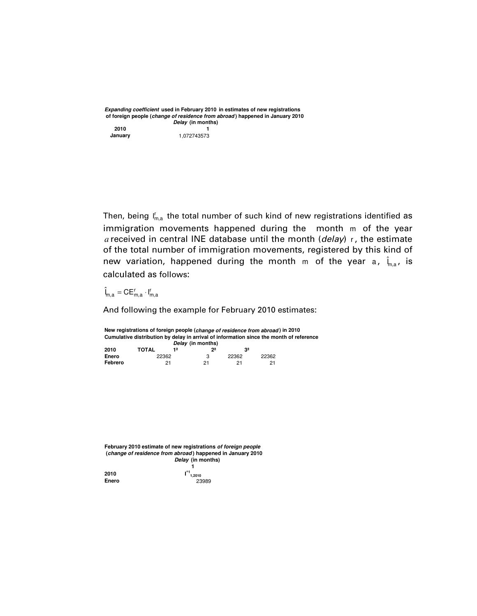**Expanding coefficient used in February 2010 in estimates of new registrations of foreign people (change of residence from abroad ) happened in January 2010 Delay (in months)**

**2010 1 January** 1,072743573

Then, being  $\mathsf{I}_{\mathsf{m},\mathsf{a}}^{\mathsf{r}}$  the total number of such kind of new registrations identified as immigration movements happened during the month m of the year *a* received in central INE database until the month (delay) <sup>r</sup> , the estimate of the total number of immigration movements, registered by this kind of new variation, happened during the month m of the year a,  $\hat{\bm{\mathsf{l}}}_{\text{m},\text{a}}$ , is calculated as follows:

 $\hat{\mathbf{l}}_{m,a} = \mathbf{CE}_{m,a}^r \cdot \mathbf{l}_{m,a}^r$ 

And following the example for February 2010 estimates:

**New registrations of foreign people (change of residence from abroad ) in 2010 Cumulative distribution by delay in arrival of information since the month of reference Delay (in months) 2010 TOTAL 1ª 2ª 3ª**

| ---     | .     | $\sim$ | . .   |       |
|---------|-------|--------|-------|-------|
| Enero   | 22362 |        | 22362 | 22362 |
| Febrero | 21    | つ1     |       | 21    |

**February 2010 estimate of new registrations of foreign people (change of residence from abroad ) happened in January 2010 Delay (in months) 1 ^1 1,2010 2010 I Enero** 23989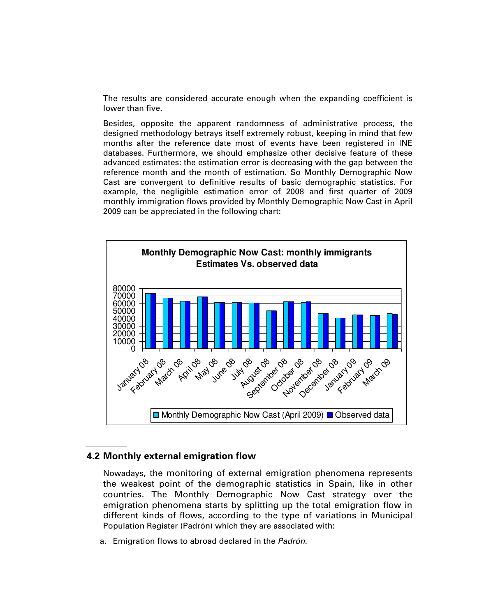The results are considered accurate enough when the expanding coefficient is lower than five.

Besides, opposite the apparent randomness of administrative process, the designed methodology betrays itself extremely robust, keeping in mind that few months after the reference date most of events have been registered in INE databases. Furthermore, we should emphasize other decisive feature of these advanced estimates: the estimation error is decreasing with the gap between the reference month and the month of estimation. So Monthly Demographic Now Cast are convergent to definitive results of basic demographic statistics. For example, the negligible estimation error of 2008 and first quarter of 2009 monthly immigration flows provided by Monthly Demographic Now Cast in April 2009 can be appreciated in the following chart:



### **4.2 Monthly external emigration flow**

Nowadays, the monitoring of external emigration phenomena represents the weakest point of the demographic statistics in Spain, like in other countries. The Monthly Demographic Now Cast strategy over the emigration phenomena starts by splitting up the total emigration flow in different kinds of flows, according to the type of variations in Municipal Population Register (Padrón) which they are associated with:

a. Emigration flows to abroad declared in the Padrón.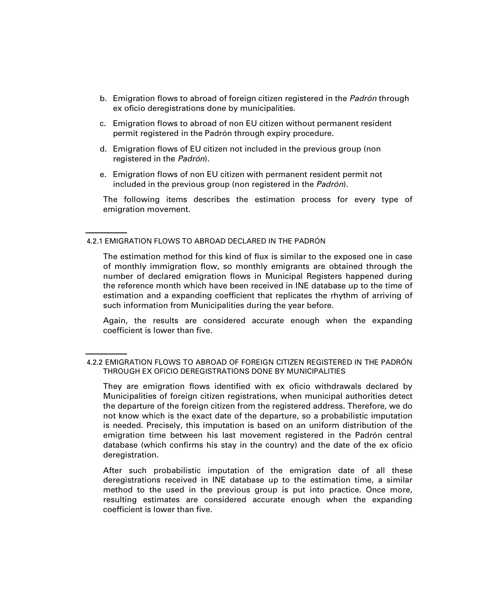- b. Emigration flows to abroad of foreign citizen registered in the Padrón through ex oficio deregistrations done by municipalities.
- c. Emigration flows to abroad of non EU citizen without permanent resident permit registered in the Padrón through expiry procedure.
- d. Emigration flows of EU citizen not included in the previous group (non registered in the Padrón).
- e. Emigration flows of non EU citizen with permanent resident permit not included in the previous group (non registered in the Padrón).

The following items describes the estimation process for every type of emigration movement.

4.2.1 EMIGRATION FLOWS TO ABROAD DECLARED IN THE PADRÓN

The estimation method for this kind of flux is similar to the exposed one in case of monthly immigration flow, so monthly emigrants are obtained through the number of declared emigration flows in Municipal Registers happened during the reference month which have been received in INE database up to the time of estimation and a expanding coefficient that replicates the rhythm of arriving of such information from Municipalities during the year before.

Again, the results are considered accurate enough when the expanding coefficient is lower than five.

They are emigration flows identified with ex oficio withdrawals declared by Municipalities of foreign citizen registrations, when municipal authorities detect the departure of the foreign citizen from the registered address. Therefore, we do not know which is the exact date of the departure, so a probabilistic imputation is needed. Precisely, this imputation is based on an uniform distribution of the emigration time between his last movement registered in the Padrón central database (which confirms his stay in the country) and the date of the ex oficio deregistration.

After such probabilistic imputation of the emigration date of all these deregistrations received in INE database up to the estimation time, a similar method to the used in the previous group is put into practice. Once more, resulting estimates are considered accurate enough when the expanding coefficient is lower than five.

<sup>4.2.2</sup> EMIGRATION FLOWS TO ABROAD OF FOREIGN CITIZEN REGISTERED IN THE PADRÓN THROUGH EX OFICIO DEREGISTRATIONS DONE BY MUNICIPALITIES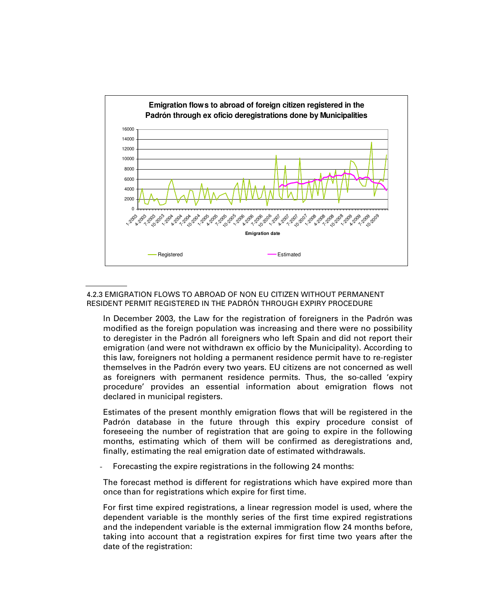

#### 4.2.3 EMIGRATION FLOWS TO ABROAD OF NON EU CITIZEN WITHOUT PERMANENT RESIDENT PERMIT REGISTERED IN THE PADRÓN THROUGH EXPIRY PROCEDURE

In December 2003, the Law for the registration of foreigners in the Padrón was modified as the foreign population was increasing and there were no possibility to deregister in the Padrón all foreigners who left Spain and did not report their emigration (and were not withdrawn ex officio by the Municipality). According to this law, foreigners not holding a permanent residence permit have to re-register themselves in the Padrón every two years. EU citizens are not concerned as well as foreigners with permanent residence permits. Thus, the so-called 'expiry procedure' provides an essential information about emigration flows not declared in municipal registers.

Estimates of the present monthly emigration flows that will be registered in the Padrón database in the future through this expiry procedure consist of foreseeing the number of registration that are going to expire in the following months, estimating which of them will be confirmed as deregistrations and, finally, estimating the real emigration date of estimated withdrawals.

Forecasting the expire registrations in the following 24 months:

The forecast method is different for registrations which have expired more than once than for registrations which expire for first time.

For first time expired registrations, a linear regression model is used, where the dependent variable is the monthly series of the first time expired registrations and the independent variable is the external immigration flow 24 months before, taking into account that a registration expires for first time two years after the date of the registration: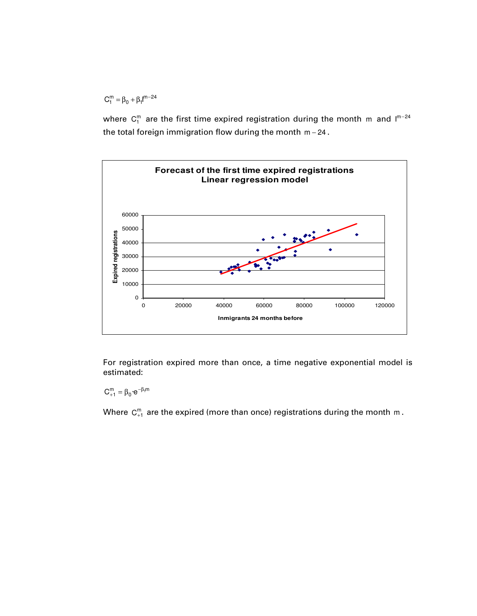$C_1^m = \beta_0 + \beta_1 I^{m-24}$ 

where  $\mathsf{C}^\mathsf{m}_1$  are the first time expired registration during the month  $\mathsf{m}$  and I $^{\mathsf{m}-24}$ the total foreign immigration flow during the month m − 24 .



For registration expired more than once, a time negative exponential model is estimated:

 $C_{+1}^m = \beta_0 \cdot e^{-\beta_1 m}$ 

Where  $C_{+1}^{m}$  are the expired (more than once) registrations during the month m.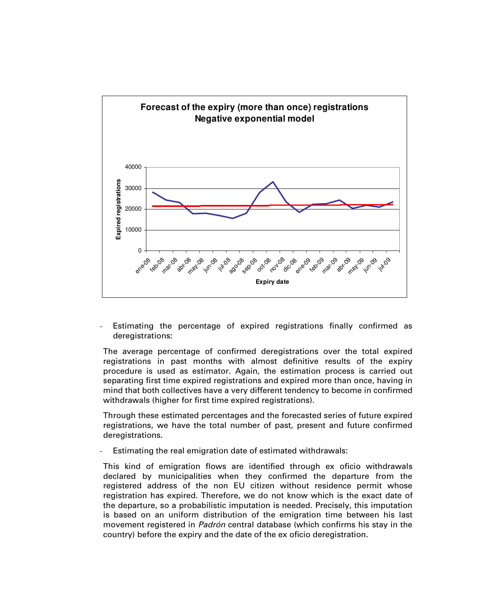

Estimating the percentage of expired registrations finally confirmed as deregistrations:

The average percentage of confirmed deregistrations over the total expired registrations in past months with almost definitive results of the expiry procedure is used as estimator. Again, the estimation process is carried out separating first time expired registrations and expired more than once, having in mind that both collectives have a very different tendency to become in confirmed withdrawals (higher for first time expired registrations).

Through these estimated percentages and the forecasted series of future expired registrations, we have the total number of past, present and future confirmed deregistrations.

Estimating the real emigration date of estimated withdrawals:

This kind of emigration flows are identified through ex oficio withdrawals declared by municipalities when they confirmed the departure from the registered address of the non EU citizen without residence permit whose registration has expired. Therefore, we do not know which is the exact date of the departure, so a probabilistic imputation is needed. Precisely, this imputation is based on an uniform distribution of the emigration time between his last movement registered in Padrón central database (which confirms his stay in the country) before the expiry and the date of the ex oficio deregistration.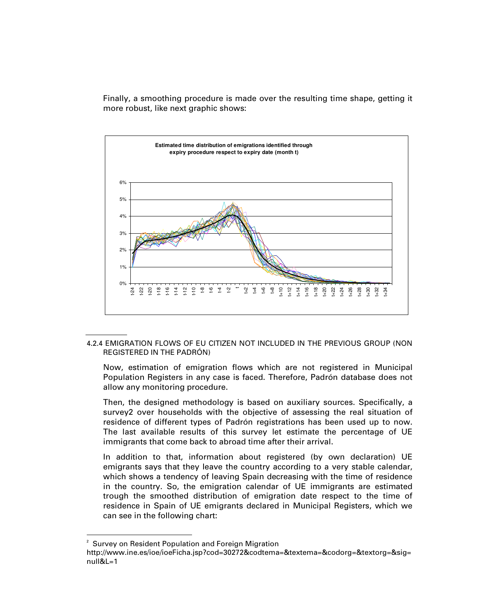Finally, a smoothing procedure is made over the resulting time shape, getting it more robust, like next graphic shows:



4.2.4 EMIGRATION FLOWS OF EU CITIZEN NOT INCLUDED IN THE PREVIOUS GROUP (NON REGISTERED IN THE PADRÓN)

Now, estimation of emigration flows which are not registered in Municipal Population Registers in any case is faced. Therefore, Padrón database does not allow any monitoring procedure.

Then, the designed methodology is based on auxiliary sources. Specifically, a survey2 over households with the objective of assessing the real situation of residence of different types of Padrón registrations has been used up to now. The last available results of this survey let estimate the percentage of UE immigrants that come back to abroad time after their arrival.

In addition to that, information about registered (by own declaration) UE emigrants says that they leave the country according to a very stable calendar, which shows a tendency of leaving Spain decreasing with the time of residence in the country. So, the emigration calendar of UE immigrants are estimated trough the smoothed distribution of emigration date respect to the time of residence in Spain of UE emigrants declared in Municipal Registers, which we can see in the following chart:

-

<sup>&</sup>lt;sup>2</sup> Survey on Resident Population and Foreign Migration http://www.ine.es/ioe/ioeFicha.jsp?cod=30272&codtema=&textema=&codorg=&textorg=&sig= null&L=1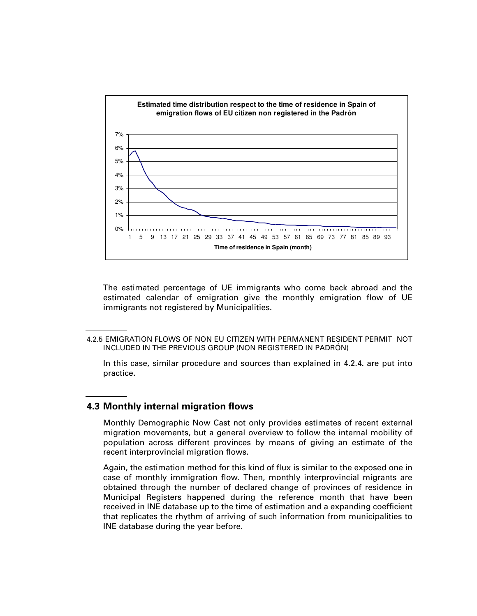

The estimated percentage of UE immigrants who come back abroad and the estimated calendar of emigration give the monthly emigration flow of UE immigrants not registered by Municipalities.

In this case, similar procedure and sources than explained in 4.2.4. are put into practice.

#### **4.3 Monthly internal migration flows**

Monthly Demographic Now Cast not only provides estimates of recent external migration movements, but a general overview to follow the internal mobility of population across different provinces by means of giving an estimate of the recent interprovincial migration flows.

Again, the estimation method for this kind of flux is similar to the exposed one in case of monthly immigration flow. Then, monthly interprovincial migrants are obtained through the number of declared change of provinces of residence in Municipal Registers happened during the reference month that have been received in INE database up to the time of estimation and a expanding coefficient that replicates the rhythm of arriving of such information from municipalities to INE database during the year before.

<sup>4.2.5</sup> EMIGRATION FLOWS OF NON EU CITIZEN WITH PERMANENT RESIDENT PERMIT NOT INCLUDED IN THE PREVIOUS GROUP (NON REGISTERED IN PADRÓN)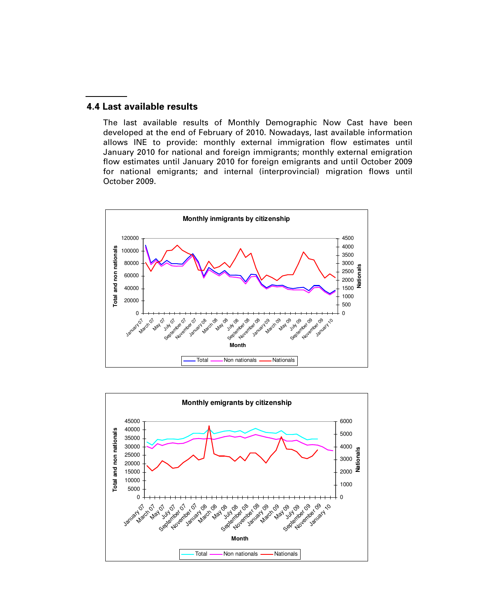#### **4.4 Last available results**

The last available results of Monthly Demographic Now Cast have been developed at the end of February of 2010. Nowadays, last available information allows INE to provide: monthly external immigration flow estimates until January 2010 for national and foreign immigrants; monthly external emigration flow estimates until January 2010 for foreign emigrants and until October 2009 for national emigrants; and internal (interprovincial) migration flows until October 2009.



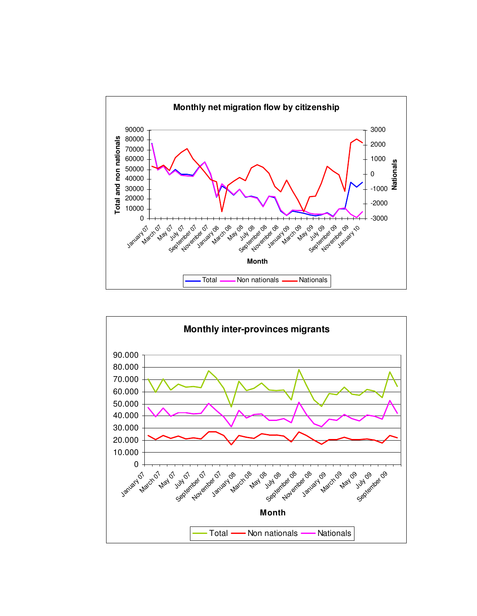

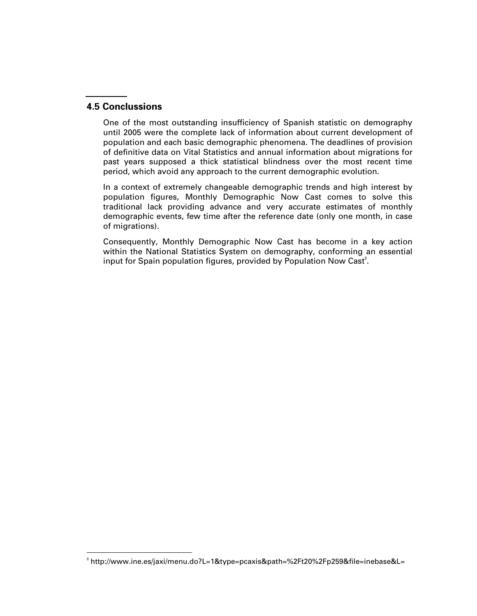### **4.5 Conclussions**

One of the most outstanding insufficiency of Spanish statistic on demography until 2005 were the complete lack of information about current development of population and each basic demographic phenomena. The deadlines of provision of definitive data on Vital Statistics and annual information about migrations for past years supposed a thick statistical blindness over the most recent time period, which avoid any approach to the current demographic evolution.

In a context of extremely changeable demographic trends and high interest by population figures, Monthly Demographic Now Cast comes to solve this traditional lack providing advance and very accurate estimates of monthly demographic events, few time after the reference date (only one month, in case of migrations).

Consequently, Monthly Demographic Now Cast has become in a key action within the National Statistics System on demography, conforming an essential input for Spain population figures, provided by Population Now Cast<sup>3</sup>.

 3 http://www.ine.es/jaxi/menu.do?L=1&type=pcaxis&path=%2Ft20%2Fp259&file=inebase&L=